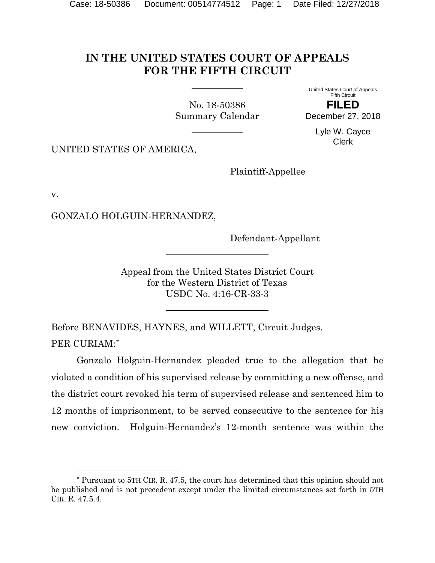## **IN THE UNITED STATES COURT OF APPEALS FOR THE FIFTH CIRCUIT**

<span id="page-0-1"></span>No. 18-50386 Summary Calendar United States Court of Appeals Fifth Circuit

**FILED** December 27, 2018

> Lyle W. Cayce Clerk

UNITED STATES OF AMERICA,

Plaintiff-Appellee

v.

l

GONZALO HOLGUIN-HERNANDEZ,

Defendant-Appellant

Appeal from the United States District Court for the Western District of Texas USDC No. 4:16-CR-33-3

Before BENAVIDES, HAYNES, and WILLETT, Circuit Judges. PER CURIAM:[\\*](#page-0-0)

Gonzalo Holguin-Hernandez pleaded true to the allegation that he violated a condition of his supervised release by committing a new offense, and the district court revoked his term of supervised release and sentenced him to 12 months of imprisonment, to be served consecutive to the sentence for his new conviction. Holguin-Hernandez's 12-month sentence was within the

<span id="page-0-0"></span><sup>\*</sup> Pursuant to 5TH CIR. R. 47.5, the court has determined that this opinion should not be published and is not precedent except under the limited circumstances set forth in 5TH CIR. R. 47.5.4.